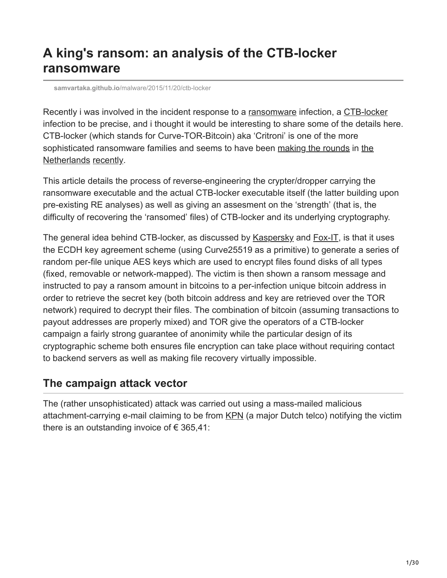# **A king's ransom: an analysis of the CTB-locker ransomware**

**samvartaka.github.io**[/malware/2015/11/20/ctb-locker](https://samvartaka.github.io/malware/2015/11/20/ctb-locker)

Recently i was involved in the incident response to a [ransomware](https://en.wikipedia.org/wiki/Ransomware) infection, a [CTB-locker](https://securelist.com/analysis/publications/64608/a-new-generation-of-ransomware/) infection to be precise, and i thought it would be interesting to share some of the details here. CTB-locker (which stands for Curve-TOR-Bitcoin) aka 'Critroni' is one of the more [sophisticated ransomware families and seems to have been making the rounds in the](https://www.pchulplijn.nl/helpdesk/virus-verwijderen/ctb-locker/kpn-factuur-internetdiensten-bevat-ctb-locker-virus) Netherlands [recently](http://blog.fox-it.com/2015/09/07/the-state-of-ransomware-in-2015/).

This article details the process of reverse-engineering the crypter/dropper carrying the ransomware executable and the actual CTB-locker executable itself (the latter building upon pre-existing RE analyses) as well as giving an assesment on the 'strength' (that is, the difficulty of recovering the 'ransomed' files) of CTB-locker and its underlying cryptography.

The general idea behind CTB-locker, as discussed by [Kaspersky](https://securelist.com/analysis/publications/64608/a-new-generation-of-ransomware/) and [Fox-IT,](http://blog.fox-it.com/2015/09/07/the-state-of-ransomware-in-2015/) is that it uses the ECDH key agreement scheme (using Curve25519 as a primitive) to generate a series of random per-file unique AES keys which are used to encrypt files found disks of all types (fixed, removable or network-mapped). The victim is then shown a ransom message and instructed to pay a ransom amount in bitcoins to a per-infection unique bitcoin address in order to retrieve the secret key (both bitcoin address and key are retrieved over the TOR network) required to decrypt their files. The combination of bitcoin (assuming transactions to payout addresses are properly mixed) and TOR give the operators of a CTB-locker campaign a fairly strong guarantee of anonimity while the particular design of its cryptographic scheme both ensures file encryption can take place without requiring contact to backend servers as well as making file recovery virtually impossible.

### **The campaign attack vector**

The (rather unsophisticated) attack was carried out using a mass-mailed malicious attachment-carrying e-mail claiming to be from [KPN](https://en.wikipedia.org/wiki/KPN) (a major Dutch telco) notifying the victim there is an outstanding invoice of  $\epsilon$  365,41: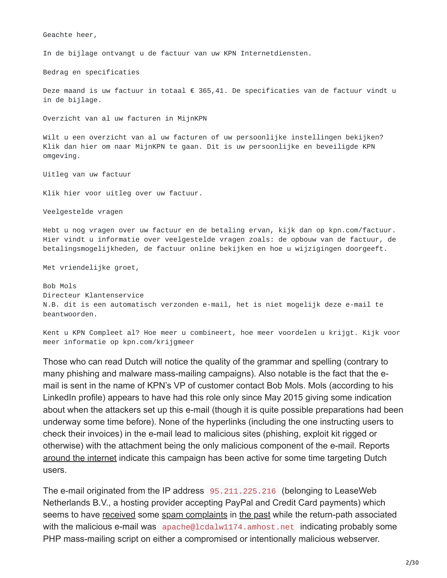Geachte heer,

In de bijlage ontvangt u de factuur van uw KPN Internetdiensten.

Bedrag en specificaties

Deze maand is uw factuur in totaal € 365,41. De specificaties van de factuur vindt u in de bijlage.

Overzicht van al uw facturen in MijnKPN

Wilt u een overzicht van al uw facturen of uw persoonlijke instellingen bekijken? Klik dan hier om naar MijnKPN te gaan. Dit is uw persoonlijke en beveiligde KPN omgeving.

Uitleg van uw factuur

Klik hier voor uitleg over uw factuur.

Veelgestelde vragen

Hebt u nog vragen over uw factuur en de betaling ervan, kijk dan op kpn.com/factuur. Hier vindt u informatie over veelgestelde vragen zoals: de opbouw van de factuur, de betalingsmogelijkheden, de factuur online bekijken en hoe u wijzigingen doorgeeft.

Met vriendelijke groet,

Bob Mols Directeur Klantenservice N.B. dit is een automatisch verzonden e-mail, het is niet mogelijk deze e-mail te beantwoorden.

Kent u KPN Compleet al? Hoe meer u combineert, hoe meer voordelen u krijgt. Kijk voor meer informatie op kpn.com/krijgmeer

Those who can read Dutch will notice the quality of the grammar and spelling (contrary to many phishing and malware mass-mailing campaigns). Also notable is the fact that the email is sent in the name of KPN's VP of customer contact Bob Mols. Mols (according to his LinkedIn profile) appears to have had this role only since May 2015 giving some indication about when the attackers set up this e-mail (though it is quite possible preparations had been underway some time before). None of the hyperlinks (including the one instructing users to check their invoices) in the e-mail lead to malicious sites (phishing, exploit kit rigged or otherwise) with the attachment being the only malicious component of the e-mail. Reports [around the internet](https://www.pchulplijn.nl/helpdesk/virus-verwijderen/ctb-locker/kpn-factuur-internetdiensten-bevat-ctb-locker-virus) indicate this campaign has been active for some time targeting Dutch users.

The e-mail originated from the IP address 95.211.225.216 (belonging to LeaseWeb Netherlands B.V., a hosting provider accepting PayPal and Credit Card payments) which seems to have [received](http://dnsbl.inps.de/query.cgi?action=last_mail&ip=95.211.225.216&lang=en) some [spam complaints](https://cleantalk.org/blacklists/95.211.225.216) in [the past](http://www.liveipmap.com/95.211.225.216) while the return-path associated with the malicious e-mail was apache@lcdalw1174.amhost.net indicating probably some PHP mass-mailing script on either a compromised or intentionally malicious webserver.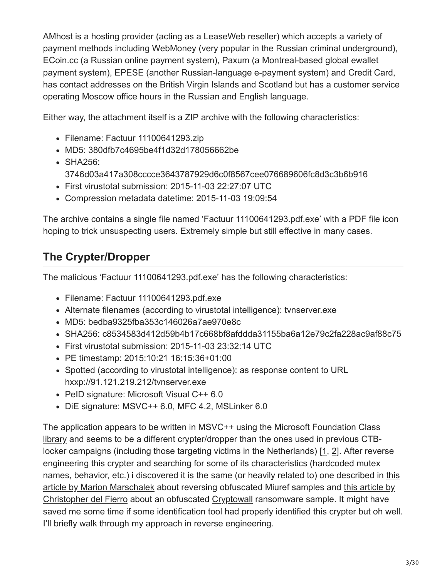AMhost is a hosting provider (acting as a LeaseWeb reseller) which accepts a variety of payment methods including WebMoney (very popular in the Russian criminal underground), ECoin.cc (a Russian online payment system), Paxum (a Montreal-based global ewallet payment system), EPESE (another Russian-language e-payment system) and Credit Card, has contact addresses on the British Virgin Islands and Scotland but has a customer service operating Moscow office hours in the Russian and English language.

Either way, the attachment itself is a ZIP archive with the following characteristics:

- Filename: Factuur 11100641293.zip
- MD5: 380dfb7c4695be4f1d32d178056662be
- SHA256: 3746d03a417a308cccce3643787929d6c0f8567cee076689606fc8d3c3b6b916
- First virustotal submission: 2015-11-03 22:27:07 UTC
- Compression metadata datetime: 2015-11-03 19:09:54

The archive contains a single file named 'Factuur 11100641293.pdf.exe' with a PDF file icon hoping to trick unsuspecting users. Extremely simple but still effective in many cases.

## **The Crypter/Dropper**

The malicious 'Factuur 11100641293.pdf.exe' has the following characteristics:

- Filename: Factuur 11100641293.pdf.exe
- Alternate filenames (according to virustotal intelligence): tvnserver.exe
- MD5: bedba9325fba353c146026a7ae970e8c
- SHA256: c8534583d412d59b4b17c668bf8afddda31155ba6a12e79c2fa228ac9af88c75
- First virustotal submission: 2015-11-03 23:32:14 UTC
- PE timestamp: 2015:10:21 16:15:36+01:00
- Spotted (according to virustotal intelligence): as response content to URL hxxp://91.121.219.212/tvnserver.exe
- PeID signature: Microsoft Visual C++ 6.0
- DiE signature: MSVC++ 6.0, MFC 4.2, MSLinker 6.0

[The application appears to be written in MSVC++ using the Microsoft Foundation Class](https://msdn.microsoft.com/en-us/library/d06h2x6e.aspx) library and seems to be a different crypter/dropper than the ones used in previous CTBlocker campaigns (including those targeting victims in the Netherlands) [[1,](https://www.dearbytes.com/blog/matroesjka-poppen-ctb-locker/) [2](http://christophe.rieunier.name/securite/CTB-Locker/CTB-Locker_Payload/CTB-Locker_payload_obfuscation_layers_analysis.php)]. After reverse engineering this crypter and searching for some of its characteristics (hardcoded mutex [names, behavior, etc.\) i discovered it is the same \(or heavily related to\) one described in this](https://www.virusbtn.com/virusbulletin/archive/2014/07/vb201407-VB6) [article by Marion Marschalek about reversing obfuscated Miuref samples and this article by](http://antimalwarelab.blogspot.nl/2015/03/unpacking-mfc-compiled-cryptowall.html) Christopher del Fierro about an obfuscated [Cryptowall](https://business.kaspersky.com/cryptowall-3-0-an-evolution-twist/4137/) ransomware sample. It might have saved me some time if some identification tool had properly identified this crypter but oh well. I'll briefly walk through my approach in reverse engineering.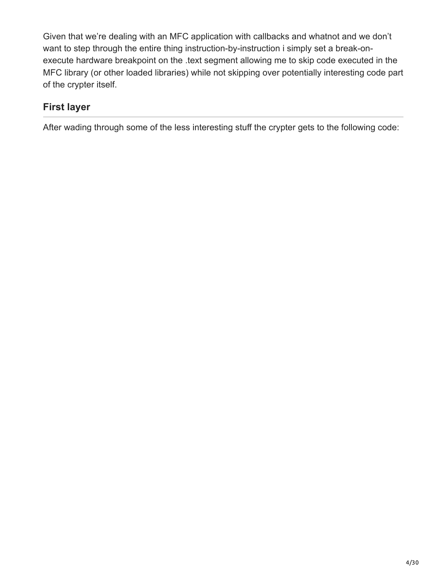Given that we're dealing with an MFC application with callbacks and whatnot and we don't want to step through the entire thing instruction-by-instruction i simply set a break-onexecute hardware breakpoint on the .text segment allowing me to skip code executed in the MFC library (or other loaded libraries) while not skipping over potentially interesting code part of the crypter itself.

### **First layer**

After wading through some of the less interesting stuff the crypter gets to the following code: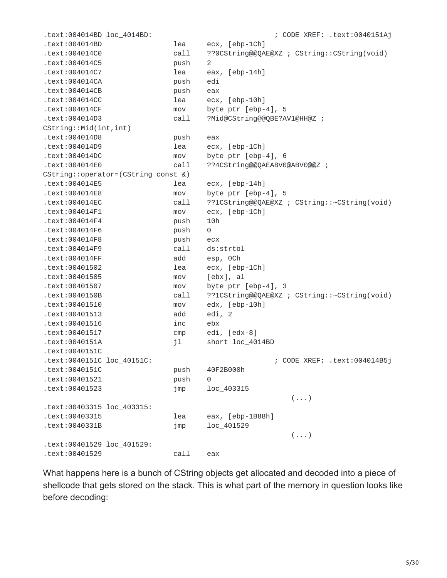.text:004014BD loc\_4014BD: ; CODE XREF: .text:0040151Aj .text:004014BD lea ecx, [ebp-1Ch] .text:004014C0 call ??0CString@@QAE@XZ ; CString::CString(void) .text:004014C5 push 2 .text:004014C7 lea eax, [ebp-14h] .text:004014CA push edi .text:004014CB push eax .text:004014CC lea ecx, [ebp-10h] .text:004014CF mov byte ptr [ebp-4], 5 .text:004014D3 call ?Mid@CString@@QBE?AV1@HH@Z ; CString::Mid(int,int) .text:004014D8 push eax .text:004014D9 lea ecx, [ebp-1Ch] .text:004014DC mov byte ptr [ebp-4], 6 .text:004014E0 call ??4CString@@QAEABV0@ABV0@@Z ; CString::operator=(CString const &) .text:004014E5 lea ecx, [ebp-14h] .text:004014E8 mov byte ptr [ebp-4], 5 .text:004014EC call ??1CString@@QAE@XZ ; CString::~CString(void) .text:004014F1 mov ecx, [ebp-1Ch] .text:004014F4 push 10h .text:004014F6 push 0 .text:004014F8 push ecx .text:004014F9 call ds:strtol .text:004014FF add esp, 0Ch .text:00401502 lea ecx, [ebp-1Ch] .text:00401505 mov [ebx], al .text:00401507 mov byte ptr [ebp-4], 3 .text:0040150B call ??1CString@@QAE@XZ ; CString::~CString(void) .text:00401510 mov edx, [ebp-10h] .text:00401513 add edi, 2 .text:00401516 inc ebx .text:00401517 cmp edi, [edx-8] .text:0040151A jl short loc\_4014BD .text:0040151C .text:0040151C loc\_40151C: ; CODE XREF: .text:004014B5j .text:0040151C push 40F2B000h .text:00401521 push 0 .text:00401523 jmp loc\_403315  $(\ldots)$ .text:00403315 loc\_403315: .text:00403315 lea eax, [ebp-1B88h] .text:0040331B jmp loc\_401529  $(\ldots)$ .text:00401529 loc\_401529: .text:00401529 call eax

What happens here is a bunch of CString objects get allocated and decoded into a piece of shellcode that gets stored on the stack. This is what part of the memory in question looks like before decoding: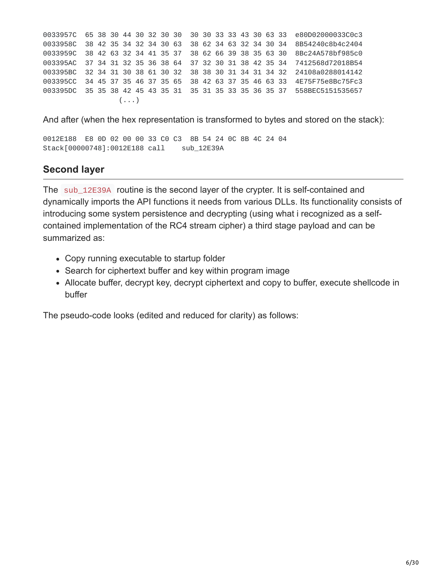0033957C 65 38 30 44 30 32 30 30 30 30 33 33 43 30 63 33 e80D02000033C0c3 0033958C 38 42 35 34 32 34 30 63 38 62 34 63 32 34 30 34 8B54240c8b4c2404 0033959C 38 42 63 32 34 41 35 37 38 62 66 39 38 35 63 30 8Bc24A578bf985c0 003395AC 37 34 31 32 35 36 38 64 37 32 30 31 38 42 35 34 7412568d72018B54 003395BC 32 34 31 30 38 61 30 32 38 38 30 31 34 31 34 32 24108a0288014142 003395CC 34 45 37 35 46 37 35 65 38 42 63 37 35 46 63 33 4E75F75e8Bc75Fc3 003395DC 35 35 38 42 45 43 35 31 35 31 35 33 35 36 35 37 558BEC5151535657  $(\ldots)$ 

And after (when the hex representation is transformed to bytes and stored on the stack):

0012E188 E8 0D 02 00 00 33 C0 C3 8B 54 24 0C 8B 4C 24 04 Stack[00000748]:0012E188 call sub\_12E39A

#### **Second layer**

The sub\_12E39A routine is the second layer of the crypter. It is self-contained and dynamically imports the API functions it needs from various DLLs. Its functionality consists of introducing some system persistence and decrypting (using what i recognized as a selfcontained implementation of the RC4 stream cipher) a third stage payload and can be summarized as:

- Copy running executable to startup folder
- Search for ciphertext buffer and key within program image
- Allocate buffer, decrypt key, decrypt ciphertext and copy to buffer, execute shellcode in buffer

The pseudo-code looks (edited and reduced for clarity) as follows: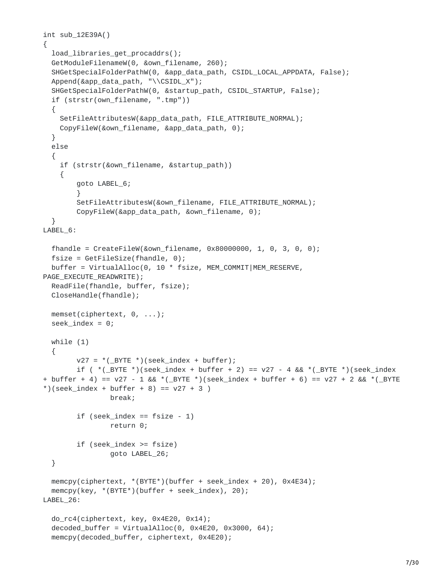```
int sub_12E39A()
{
  load_libraries_get_procaddrs();
  GetModuleFilenameW(0, &own_filename, 260);
  SHGetSpecialFolderPathW(0, &app_data_path, CSIDL_LOCAL_APPDATA, False);
  Append(&app_data_path, "\\CSIDL_X");
  SHGetSpecialFolderPathW(0, &startup_path, CSIDL_STARTUP, False);
  if (strstr(own_filename, ".tmp"))
  {
    SetFileAttributesW(&app_data_path, FILE_ATTRIBUTE_NORMAL);
    CopyFileW(&own_filename, &app_data_path, 0);
  }
  else
  {
    if (strstr(&own_filename, &startup_path))
    {
        goto LABEL_6;
        }
        SetFileAttributesW(&own_filename, FILE_ATTRIBUTE_NORMAL);
        CopyFileW(&app_data_path, &own_filename, 0);
  }
LABEL_6:
  fhandle = CreateFileW(&own_filename, 0x80000000, 1, 0, 3, 0, 0);
  fsize = GetFileSize(fhandle, 0);
  buffer = VirtualAlloc(0, 10 * fsize, MEM_COMMIT|MEM_RESERVE,
PAGE_EXECUTE_READWRITE);
  ReadFile(fhandle, buffer, fsize);
  CloseHandle(fhandle);
 memset(ciphertext, 0, ...);
  seek_index = 0;while (1)
  {
        v27 = *(BYTE *)(seek_index + buffer);
        if ( *(\_BYTE *)(seek\_index + buffer + 2) == v27 - 4 & & *(\_BYTE *)(seek\_index+ buffer + 4) == v27 - 1 && *(_BYTE *)(seek_index + buffer + 6) == v27 + 2 && *(_BYTE
*)(seek_index + buffer + 8) == v27 + 3 )
                break;
        if (seek_index == fsize - 1)
                return 0;
        if (seek_index >= fsize)
                goto LABEL_26;
 }
  memcpy(ciphertext, *(BYTE*)(buffer + seek_index + 20), 0x4E34);
 memcpy(key, *(BYTE*)(buffer + seek_index), 20);
LABEL_26:
  do_rc4(ciphertext, key, 0x4E20, 0x14);
  decoded_buffer = VirtualAlloc(0, 0 \times 4E20, 0 \times 3000, 64);
  memcpy(decoded_buffer, ciphertext, 0x4E20);
```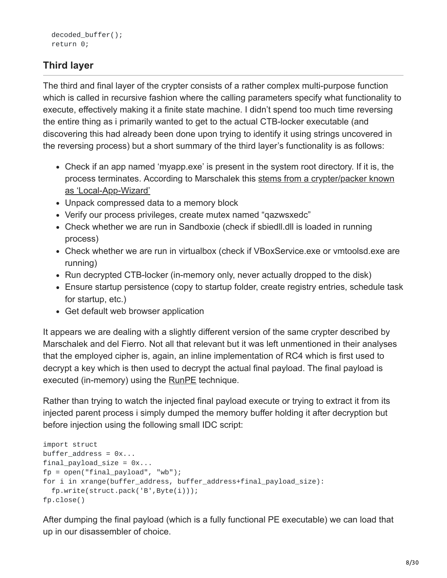## **Third layer**

The third and final layer of the crypter consists of a rather complex multi-purpose function which is called in recursive fashion where the calling parameters specify what functionality to execute, effectively making it a finite state machine. I didn't spend too much time reversing the entire thing as i primarily wanted to get to the actual CTB-locker executable (and discovering this had already been done upon trying to identify it using strings uncovered in the reversing process) but a short summary of the third layer's functionality is as follows:

- Check if an app named 'myapp.exe' is present in the system root directory. If it is, the [process terminates. According to Marschalek this stems from a crypter/packer known](http://www.gironsec.com/blog/2014/05/unpacking-the-local-app-wizard-packer/) as 'Local-App-Wizard'
- Unpack compressed data to a memory block
- Verify our process privileges, create mutex named "qazwsxedc"
- Check whether we are run in Sandboxie (check if sbiedll.dll is loaded in running process)
- Check whether we are run in virtualbox (check if VBoxService.exe or vmtoolsd.exe are running)
- Run decrypted CTB-locker (in-memory only, never actually dropped to the disk)
- Ensure startup persistence (copy to startup folder, create registry entries, schedule task for startup, etc.)
- Get default web browser application

It appears we are dealing with a slightly different version of the same crypter described by Marschalek and del Fierro. Not all that relevant but it was left unmentioned in their analyses that the employed cipher is, again, an inline implementation of RC4 which is first used to decrypt a key which is then used to decrypt the actual final payload. The final payload is executed (in-memory) using the [RunPE](http://www.adlice.com/runpe-hide-code-behind-legit-process/) technique.

Rather than trying to watch the injected final payload execute or trying to extract it from its injected parent process i simply dumped the memory buffer holding it after decryption but before injection using the following small IDC script:

```
import struct
buffer\_address = 0x...final_payload_size = 0x...fp = open("final_payload", "wb");
for i in xrange(buffer_address, buffer_address+final_payload_size):
  fp.write(struct.pack('B',Byte(i)));
fp.close()
```
After dumping the final payload (which is a fully functional PE executable) we can load that up in our disassembler of choice.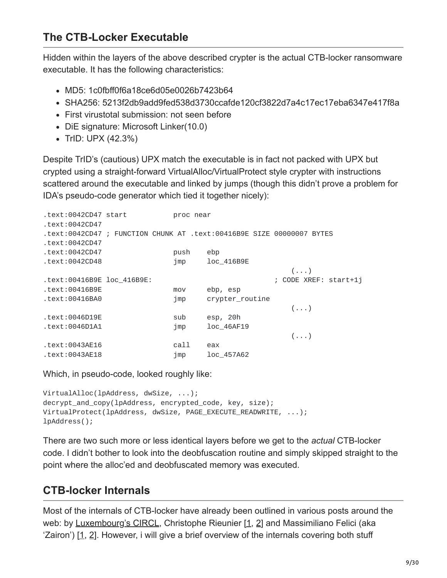## **The CTB-Locker Executable**

Hidden within the layers of the above described crypter is the actual CTB-locker ransomware executable. It has the following characteristics:

- MD5: 1c0fbff0f6a18ce6d05e0026b7423b64
- SHA256: 5213f2db9add9fed538d3730ccafde120cf3822d7a4c17ec17eba6347e417f8a
- First virustotal submission: not seen before
- DiE signature: Microsoft Linker(10.0)
- $\bullet$  TrID: UPX (42.3%)

Despite TrID's (cautious) UPX match the executable is in fact not packed with UPX but crypted using a straight-forward VirtualAlloc/VirtualProtect style crypter with instructions scattered around the executable and linked by jumps (though this didn't prove a problem for IDA's pseudo-code generator which tied it together nicely):

| text:0042CD47 start.       | proc near |                 |                                                                       |  |
|----------------------------|-----------|-----------------|-----------------------------------------------------------------------|--|
| .text:0042CD47             |           |                 |                                                                       |  |
|                            |           |                 | .text:0042CD47 ; FUNCTION CHUNK AT .text:00416B9E SIZE 00000007 BYTES |  |
| .text:0042CD47             |           |                 |                                                                       |  |
| .text:0042CD47             | push      | ebp             |                                                                       |  |
| text:0042CD48.             | jmp       | loc 416B9E      |                                                                       |  |
|                            |           |                 | $(\ldots)$                                                            |  |
| .text:00416B9E loc 416B9E: |           |                 | ; CODE XREF: start+1j                                                 |  |
| .text:00416B9E             | mov       | ebp, esp        |                                                                       |  |
| text:00416BA0.             | jmp       | crypter_routine |                                                                       |  |
|                            |           |                 | $(\ldots)$                                                            |  |
| text:0046D19E.             | sub       | esp, 20h        |                                                                       |  |
| text:0046D1A1.             | jmp       | loc 46AF19      |                                                                       |  |
|                            |           |                 | $(\ldots)$                                                            |  |
| text:0043AE16.             | call      | eax             |                                                                       |  |
| text:0043AE18.             | $\lim p$  | loc 457A62      |                                                                       |  |

Which, in pseudo-code, looked roughly like:

```
VirtualAlloc(lpAddress, dwSize, ...);
decrypt_and_copy(lpAddress, encrypted_code, key, size);
VirtualProtect(lpAddress, dwSize, PAGE_EXECUTE_READWRITE, ...);
lpAddress();
```
There are two such more or less identical layers before we get to the *actual* CTB-locker code. I didn't bother to look into the deobfuscation routine and simply skipped straight to the point where the alloc'ed and deobfuscated memory was executed.

## **CTB-locker Internals**

Most of the internals of CTB-locker have already been outlined in various posts around the web: by [Luxembourg's CIRCL](https://www.circl.lu/pub/tr-33/), Christophe Rieunier [[1](http://christophe.rieunier.name/securite/CTB-Locker/CTB-Locker_analysis_en.php), [2\]](http://christophe.rieunier.name/securite/CTB-Locker/CTB-Locker_Payload/CTB-Locker_payload_obfuscation_layers_analysis.php) and Massimiliano Felici (aka 'Zairon') [[1,](https://zairon.wordpress.com/2015/02/09/ctb-locker-files-decryption-demonstration-feature/) [2](https://zairon.wordpress.com/2015/02/17/ctb-locker-encryptiondecryption-scheme-in-details/)]. However, i will give a brief overview of the internals covering both stuff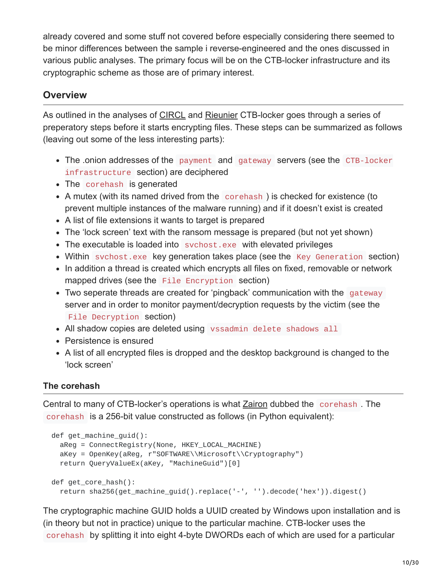already covered and some stuff not covered before especially considering there seemed to be minor differences between the sample i reverse-engineered and the ones discussed in various public analyses. The primary focus will be on the CTB-locker infrastructure and its cryptographic scheme as those are of primary interest.

#### **Overview**

As outlined in the analyses of [CIRCL](https://www.circl.lu/pub/tr-33/) and [Rieunier](http://christophe.rieunier.name/securite/CTB-Locker/CTB-Locker_Payload/CTB-Locker_payload_obfuscation_layers_analysis.php) CTB-locker goes through a series of preperatory steps before it starts encrypting files. These steps can be summarized as follows (leaving out some of the less interesting parts):

- The onion addresses of the payment and gateway servers (see the CTB-locker infrastructure section) are deciphered
- The corehash is generated
- A mutex (with its named drived from the corehash) is checked for existence (to prevent multiple instances of the malware running) and if it doesn't exist is created
- A list of file extensions it wants to target is prepared
- The 'lock screen' text with the ransom message is prepared (but not yet shown)
- The executable is loaded into sychost.exe with elevated privileges
- Within svchost.exe key generation takes place (see the Key Generation section)
- In addition a thread is created which encrypts all files on fixed, removable or network mapped drives (see the File Encryption section)
- Two seperate threads are created for 'pingback' communication with the gateway server and in order to monitor payment/decryption requests by the victim (see the File Decryption section)
- All shadow copies are deleted using vssadmin delete shadows all
- Persistence is ensured
- A list of all encrypted files is dropped and the desktop background is changed to the 'lock screen'

#### **The corehash**

Central to many of CTB-locker's operations is what [Zairon](https://zairon.wordpress.com/2015/02/09/ctb-locker-files-decryption-demonstration-feature/) dubbed the corehash . The corehash is a 256-bit value constructed as follows (in Python equivalent):

```
def get_machine_guid():
  aReg = ConnectRegistry(None, HKEY_LOCAL_MACHINE)
  aKey = OpenKey(aReg, r"SOFTWARE\\Microsoft\\Cryptography")
  return QueryValueEx(aKey, "MachineGuid")[0]
def get_core_hash():
  return sha256(get_machine_guid().replace('-', '').decode('hex')).digest()
```
The cryptographic machine GUID holds a UUID created by Windows upon installation and is (in theory but not in practice) unique to the particular machine. CTB-locker uses the corehash by splitting it into eight 4-byte DWORDs each of which are used for a particular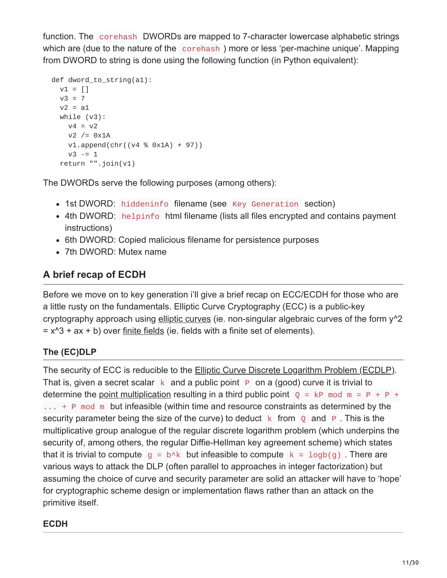function. The corehash DWORDs are mapped to 7-character lowercase alphabetic strings which are (due to the nature of the corehash) more or less 'per-machine unique'. Mapping from DWORD to string is done using the following function (in Python equivalent):

```
def dword_to_string(a1):
 v1 = []v3 = 7v2 = a1while (v3):
   v4 = v2v2 /= 0x1Av1.append(chr((v4 % 0x1A) + 97))
   v3 - 1return "".join(v1)
```
The DWORDs serve the following purposes (among others):

- 1st DWORD: hiddeninfo filename (see Key Generation section)
- 4th DWORD: helpinfo html filename (lists all files encrypted and contains payment instructions)
- 6th DWORD: Copied malicious filename for persistence purposes
- 7th DWORD: Mutex name

## **A brief recap of ECDH**

Before we move on to key generation i'll give a brief recap on ECC/ECDH for those who are a little rusty on the fundamentals. Elliptic Curve Cryptography (ECC) is a public-key cryptography approach using [elliptic curves](https://en.wikipedia.org/wiki/Elliptic_curve) (ie. non-singular algebraic curves of the form y<sup>^2</sup>  $= x^3 + ax + b$ ) over [finite fields](https://en.wikipedia.org/wiki/Finite_field) (ie. fields with a finite set of elements).

### **The (EC)DLP**

The security of ECC is reducible to the [Elliptic Curve Discrete Logarithm Problem \(ECDLP\).](https://en.wikipedia.org/wiki/Discrete_logarithm) That is, given a secret scalar  $k$  and a public point P on a (good) curve it is trivial to determine the [point multiplication](https://en.wikipedia.org/wiki/Elliptic_curve_point_multiplication) resulting in a third public point  $Q = kP$  mod  $m = P + P +$  $\ldots$  + P mod m but infeasible (within time and resource constraints as determined by the security parameter being the size of the curve) to deduct  $k$  from  $\theta$  and  $\theta$ . This is the multiplicative group analogue of the regular discrete logarithm problem (which underpins the security of, among others, the regular Diffie-Hellman key agreement scheme) which states that it is trivial to compute  $g = b \wedge k$  but infeasible to compute  $k = \log b(q)$ . There are various ways to attack the DLP (often parallel to approaches in integer factorization) but assuming the choice of curve and security parameter are solid an attacker will have to 'hope' for cryptographic scheme design or implementation flaws rather than an attack on the primitive itself.

#### **ECDH**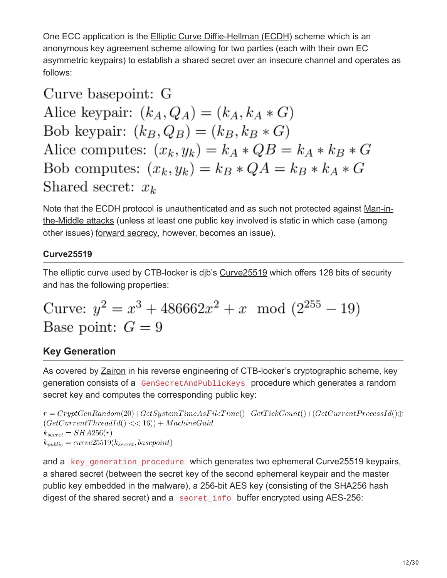One ECC application is the [Elliptic Curve Diffie-Hellman \(ECDH\)](https://en.wikipedia.org/wiki/Elliptic_curve_Diffie%E2%80%93Hellman) scheme which is an anonymous key agreement scheme allowing for two parties (each with their own EC asymmetric keypairs) to establish a shared secret over an insecure channel and operates as follows:

Curve basepoint: G

Alice keypair:  $(k_A, Q_A) = (k_A, k_A * G)$ Bob keypair:  $(k_B, Q_B) = (k_B, k_B * G)$ Alice computes:  $(x_k, y_k) = k_A * QB = k_A * k_B * G$ Bob computes:  $(x_k, y_k) = k_B * QA = k_B * k_A * G$ Shared secret:  $x_k$ 

[Note that the ECDH protocol is unauthenticated and as such not protected against Man-in](https://en.wikipedia.org/wiki/Man-in-the-middle_attack)the-Middle attacks (unless at least one public key involved is static in which case (among other issues) [forward secrecy,](https://en.wikipedia.org/wiki/Forward_secrecy) however, becomes an issue).

#### **Curve25519**

The elliptic curve used by CTB-locker is djb's [Curve25519](https://en.wikipedia.org/wiki/Curve25519) which offers 128 bits of security and has the following properties:

Curve: 
$$
y^2 = x^3 + 486662x^2 + x \mod (2^{255} - 19)
$$
  
Base point:  $G = 9$ 

### **Key Generation**

As covered by [Zairon](https://zairon.wordpress.com/2015/02/17/ctb-locker-encryptiondecryption-scheme-in-details/) in his reverse engineering of CTB-locker's cryptographic scheme, key generation consists of a GenSecretAndPublicKeys procedure which generates a random secret key and computes the corresponding public key:

```
r = CryptGenRandom(20) + GetSystemTimeAsFileTime() + GetTickCount() + (GetCurrent ProcessId() \oplus(GetCurrentThreadId() << 16)) + MachineGuidk_{secret} = SHA256(r)k_{public} = curve25519(k_{secret}, basepoint)
```
and a key generation procedure which generates two ephemeral Curve25519 keypairs, a shared secret (between the secret key of the second ephemeral keypair and the master public key embedded in the malware), a 256-bit AES key (consisting of the SHA256 hash digest of the shared secret) and a secret\_info buffer encrypted using AES-256: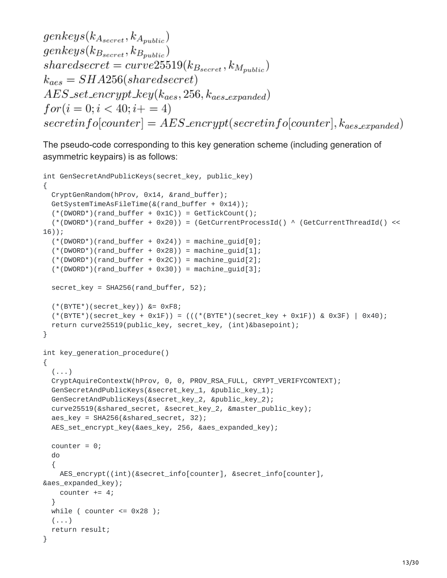```
genkeys(k_{A_{secret}}, k_{A_{public}})genkeys(k_{B_{secret}}, k_{B_{public}})sharedsecret = curve25519(k_{Bsecret}, k_{M_{public}})k_{aes} = SHA256(shared secret)AES_set\_encrypt\_key(k_{aes}, 256, k_{aes\_expanded})for (i = 0; i < 40; i += 4)secretinfo[counter] = AES\_encrypt(secretinfo[counter], k_{aes\_expanded})
```
The pseudo-code corresponding to this key generation scheme (including generation of asymmetric keypairs) is as follows:

```
int GenSecretAndPublicKeys(secret_key, public_key)
{
  CryptGenRandom(hProv, 0x14, &rand_buffer);
  GetSystemTimeAsFileTime(&(rand_buffer + 0x14));
  (*(DWORD*)(rand_buffer + 0x1C)) = GetTickCount();(*(DWORD*)(rand_buffer + 0x20)) = (GetCurrentProcessId() ^ (GetCurrentThreadId() <<
16));
  (*(DWORD*) (rand_buffer + 0x24)) = machine_guid[0];(*(DWORD*) (rand_buffer + 0x28)) = machine_guid[1];(*(DWORD*) (rand_buffer + 0x2C)) = machine_guid[2];(*(DWORD*) (rand_buffer + 0x30)) = machine_guid[3];secret_key = SHA256(rand_buffer, 52);
  (*(BYTE*)(secret_key)) &= 0xF8;
  (*(BYTE*)(secret_key + 0x1F)) = (((*(BYTE*)(secret_key + 0x1F)) & 0x3F) | 0x40);
  return curve25519(public_key, secret_key, (int)&basepoint);
}
int key_generation_procedure()
{
  (\ldots)CryptAquireContextW(hProv, 0, 0, PROV_RSA_FULL, CRYPT_VERIFYCONTEXT);
  GenSecretAndPublicKeys(&secret_key_1, &public_key_1);
  GenSecretAndPublicKeys(&secret_key_2, &public_key_2);
  curve25519(&shared_secret, &secret_key_2, &master_public_key);
  aes_key = SHA256(&shared_secret, 32);
  AES_set_encrypt_key(&aes_key, 256, &aes_expanded_key);
  counter = 0;
  do
  {
    AES_encrypt((int)(&secret_info[counter], &secret_info[counter],
&aes_expanded_key);
    counter += 4;}
  while ( counter \leq 0x28 );
  (\ldots)return result;
}
```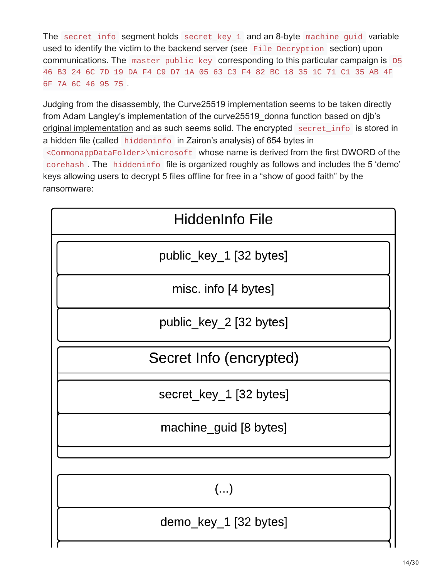The secret info segment holds secret key 1 and an 8-byte machine quid variable used to identify the victim to the backend server (see File Decryption section) upon communications. The master public key corresponding to this particular campaign is D5 46 B3 24 6C 7D 19 DA F4 C9 D7 1A 05 63 C3 F4 82 BC 18 35 1C 71 C1 35 AB 4F 6F 7A 6C 46 95 75 .

Judging from the disassembly, the Curve25519 implementation seems to be taken directly [from Adam Langley's implementation of the curve25519\\_donna function based on djb's](https://github.com/agl/curve25519-donna/blob/master/curve25519-donna.c) original implementation and as such seems solid. The encrypted secret\_info is stored in a hidden file (called hiddeninfo in Zairon's analysis) of 654 bytes in <CommonappDataFolder>\microsoft whose name is derived from the first DWORD of the corehash . The hiddeninfo file is organized roughly as follows and includes the 5 'demo' keys allowing users to decrypt 5 files offline for free in a "show of good faith" by the ransomware:

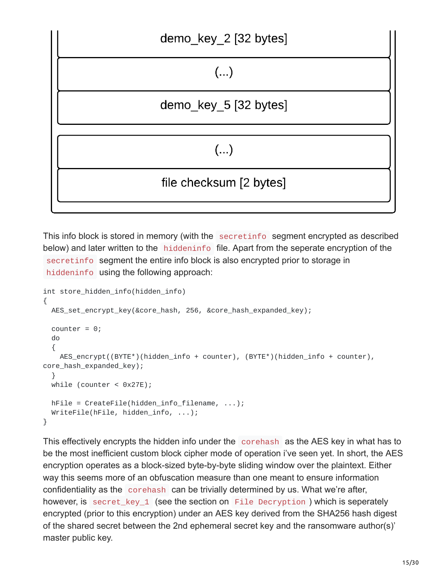

This info block is stored in memory (with the secretinfo segment encrypted as described below) and later written to the hiddeninfo file. Apart from the seperate encryption of the secretinfo segment the entire info block is also encrypted prior to storage in hiddeninfo using the following approach:

```
int store_hidden_info(hidden_info)
{
 AES_set_encrypt_key(&core_hash, 256, &core_hash_expanded_key);
  counter = 0;
  do
  {
    AES_encrypt((BYTE*)(hidden_info + counter), (BYTE*)(hidden_info + counter),
core_hash_expanded_key);
  λ,
 while (counter < 0x27E);
  hFile = CreateFile(hidden_info_filename, ...);
 WriteFile(hFile, hidden_info, ...);
}
```
This effectively encrypts the hidden info under the corehash as the AES key in what has to be the most inefficient custom block cipher mode of operation i've seen yet. In short, the AES encryption operates as a block-sized byte-by-byte sliding window over the plaintext. Either way this seems more of an obfuscation measure than one meant to ensure information confidentiality as the corehash can be trivially determined by us. What we're after, however, is secret\_key\_1 (see the section on File Decryption ) which is seperately encrypted (prior to this encryption) under an AES key derived from the SHA256 hash digest of the shared secret between the 2nd ephemeral secret key and the ransomware author(s)' master public key.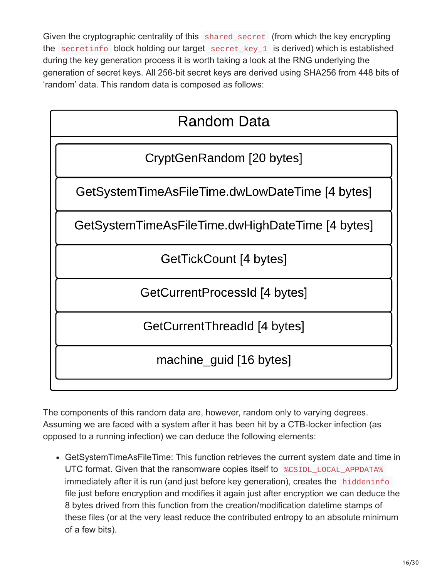Given the cryptographic centrality of this shared secret (from which the key encrypting the secretinfo block holding our target secret\_key\_1 is derived) which is established during the key generation process it is worth taking a look at the RNG underlying the generation of secret keys. All 256-bit secret keys are derived using SHA256 from 448 bits of 'random' data. This random data is composed as follows:

| Random Data                                      |
|--------------------------------------------------|
| CryptGenRandom [20 bytes]                        |
| GetSystemTimeAsFileTime.dwLowDateTime [4 bytes]  |
| GetSystemTimeAsFileTime.dwHighDateTime [4 bytes] |
| GetTickCount [4 bytes]                           |
| GetCurrentProcessId [4 bytes]                    |
| GetCurrentThreadId [4 bytes]                     |
| machine guid [16 bytes]                          |

The components of this random data are, however, random only to varying degrees. Assuming we are faced with a system after it has been hit by a CTB-locker infection (as opposed to a running infection) we can deduce the following elements:

GetSystemTimeAsFileTime: This function retrieves the current system date and time in UTC format. Given that the ransomware copies itself to %CSIDL\_LOCAL\_APPDATA% immediately after it is run (and just before key generation), creates the hiddeninfo file just before encryption and modifies it again just after encryption we can deduce the 8 bytes drived from this function from the creation/modification datetime stamps of these files (or at the very least reduce the contributed entropy to an absolute minimum of a few bits).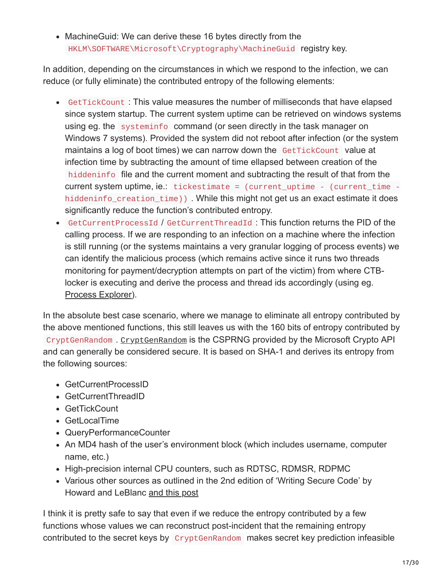• MachineGuid: We can derive these 16 bytes directly from the HKLM\SOFTWARE\Microsoft\Cryptography\MachineGuid registry key.

In addition, depending on the circumstances in which we respond to the infection, we can reduce (or fully eliminate) the contributed entropy of the following elements:

- GetTickCount : This value measures the number of milliseconds that have elapsed since system startup. The current system uptime can be retrieved on windows systems using eg. the systeminfo command (or seen directly in the task manager on Windows 7 systems). Provided the system did not reboot after infection (or the system maintains a log of boot times) we can narrow down the GetTickCount value at infection time by subtracting the amount of time ellapsed between creation of the hiddeninfo file and the current moment and subtracting the result of that from the current system uptime, ie.: tickestimate = (current\_uptime - (current\_time hiddeninfo\_creation\_time)). While this might not get us an exact estimate it does significantly reduce the function's contributed entropy.
- GetCurrentProcessId / GetCurrentThreadId : This function returns the PID of the calling process. If we are responding to an infection on a machine where the infection is still running (or the systems maintains a very granular logging of process events) we can identify the malicious process (which remains active since it runs two threads monitoring for payment/decryption attempts on part of the victim) from where CTBlocker is executing and derive the process and thread ids accordingly (using eg. [Process Explorer](https://technet.microsoft.com/en-us/sysinternals/processexplorer.aspx)).

In the absolute best case scenario, where we manage to eliminate all entropy contributed by the above mentioned functions, this still leaves us with the 160 bits of entropy contributed by CryptGenRandom . [CryptGenRandom](https://en.wikipedia.org/wiki/CryptGenRandom) is the CSPRNG provided by the Microsoft Crypto API and can generally be considered secure. It is based on SHA-1 and derives its entropy from the following sources:

- GetCurrentProcessID
- GetCurrentThreadID
- GetTickCount
- GetLocalTime
- QueryPerformanceCounter
- An MD4 hash of the user's environment block (which includes username, computer name, etc.)
- High-precision internal CPU counters, such as RDTSC, RDMSR, RDPMC
- Various other sources as outlined in the 2nd edition of 'Writing Secure Code' by Howard and LeBlanc [and this post](http://blogs.msdn.com/b/michael_howard/archive/2005/01/14/353379.aspx)

I think it is pretty safe to say that even if we reduce the entropy contributed by a few functions whose values we can reconstruct post-incident that the remaining entropy contributed to the secret keys by CryptGenRandom makes secret key prediction infeasible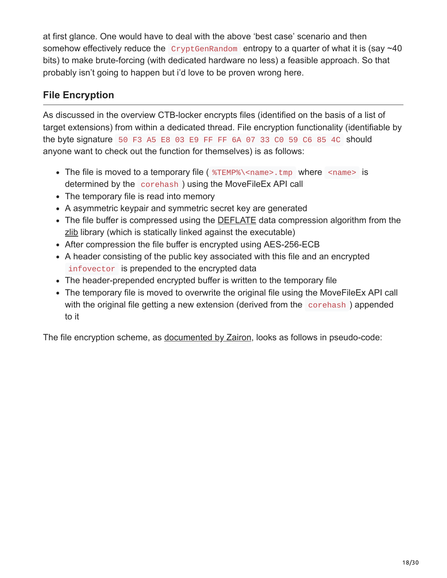at first glance. One would have to deal with the above 'best case' scenario and then somehow effectively reduce the  $CryptGenRandom$  entropy to a quarter of what it is (say  $\sim$ 40 bits) to make brute-forcing (with dedicated hardware no less) a feasible approach. So that probably isn't going to happen but i'd love to be proven wrong here.

### **File Encryption**

As discussed in the overview CTB-locker encrypts files (identified on the basis of a list of target extensions) from within a dedicated thread. File encryption functionality (identifiable by the byte signature 50 F3 A5 E8 03 E9 FF FF 6A 07 33 C0 59 C6 85 4C should anyone want to check out the function for themselves) is as follows:

- The file is moved to a temporary file ( $\%$ TEMP%\<name>.tmp where <name> is determined by the corehash ) using the MoveFileEx API call
- The temporary file is read into memory
- A asymmetric keypair and symmetric secret key are generated
- The file buffer is compressed using the **DEFLATE** data compression algorithm from the [zlib](https://en.wikipedia.org/wiki/Zlib) library (which is statically linked against the executable)
- After compression the file buffer is encrypted using AES-256-ECB
- A header consisting of the public key associated with this file and an encrypted infovector is prepended to the encrypted data
- The header-prepended encrypted buffer is written to the temporary file
- The temporary file is moved to overwrite the original file using the MoveFileEx API call with the original file getting a new extension (derived from the corehash) appended to it

The file encryption scheme, as [documented by Zairon](https://zairon.wordpress.com/2015/02/17/ctb-locker-encryptiondecryption-scheme-in-details/), looks as follows in pseudo-code: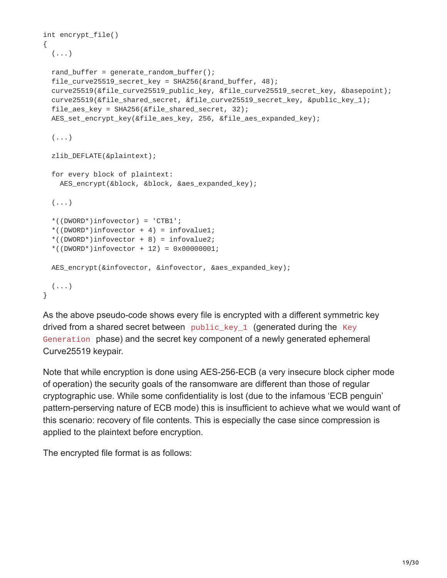```
int encrypt_file()
{
  (\ldots)rand_buffer = generate_random_buffer();
  file_curve25519_secret_key = SHA256(&rand_buffer, 48);
  curve25519(&file_curve25519_public_key, &file_curve25519_secret_key, &basepoint);
  curve25519(&file_shared_secret, &file_curve25519_secret_key, &public_key_1);
  file_aes_key = SHA256(&file_shared_secret, 32);
 AES_set_encrypt_key(&file_aes_key, 256, &file_aes_expanded_key);
  (\ldots)zlib_DEFLATE(&plaintext);
  for every block of plaintext:
   AES_encrypt(&block, &block, &aes_expanded_key);
  (\ldots)*((DWORD*)infovector) = 'CTB1';
  *((DWORD*)infovector + 4) = infovalue1;
  *((DWORD*)infovector + 8) = infovalue2;
  *((DWORD*)infovector + 12) = 0x00000001;
 AES_encrypt(&infovector, &infovector, &aes_expanded_key);
 (...)
}
```
As the above pseudo-code shows every file is encrypted with a different symmetric key drived from a shared secret between public key 1 (generated during the Key Generation phase) and the secret key component of a newly generated ephemeral Curve25519 keypair.

Note that while encryption is done using AES-256-ECB (a very insecure block cipher mode of operation) the security goals of the ransomware are different than those of regular cryptographic use. While some confidentiality is lost (due to the infamous 'ECB penguin' pattern-perserving nature of ECB mode) this is insufficient to achieve what we would want of this scenario: recovery of file contents. This is especially the case since compression is applied to the plaintext before encryption.

The encrypted file format is as follows: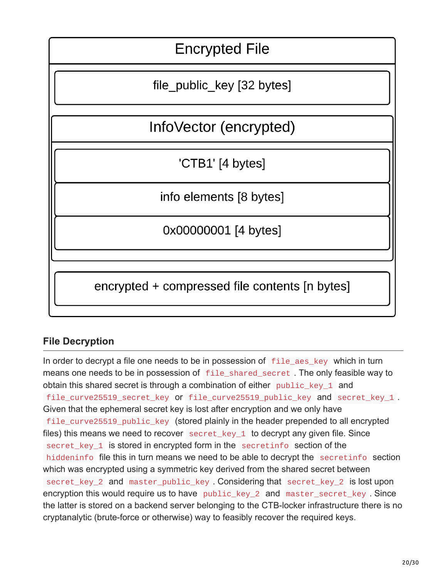

### **File Decryption**

In order to decrypt a file one needs to be in possession of file\_aes\_key which in turn means one needs to be in possession of file\_shared\_secret . The only feasible way to obtain this shared secret is through a combination of either public\_key\_1 and file\_curve25519\_secret\_key or file\_curve25519\_public\_key and secret\_key\_1 . Given that the ephemeral secret key is lost after encryption and we only have file\_curve25519\_public\_key (stored plainly in the header prepended to all encrypted files) this means we need to recover  $\secret\_key_1$  to decrypt any given file. Since secret\_key\_1 is stored in encrypted form in the secretinfo section of the hiddeninfo file this in turn means we need to be able to decrypt the secretinfo section which was encrypted using a symmetric key derived from the shared secret between secret\_key\_2 and master\_public\_key . Considering that secret\_key\_2 is lost upon encryption this would require us to have public\_key\_2 and master\_secret\_key . Since the latter is stored on a backend server belonging to the CTB-locker infrastructure there is no cryptanalytic (brute-force or otherwise) way to feasibly recover the required keys.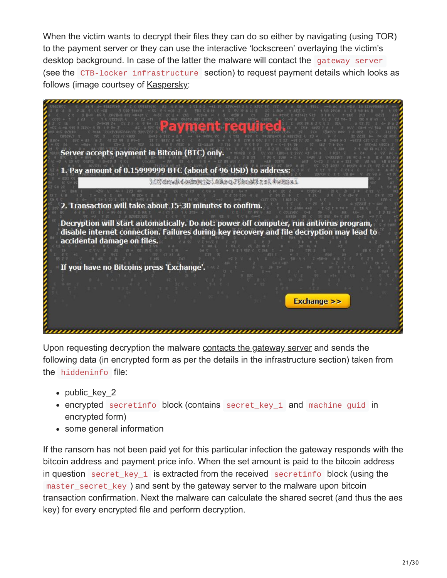When the victim wants to decrypt their files they can do so either by navigating (using TOR) to the payment server or they can use the interactive 'lockscreen' overlaying the victim's desktop background. In case of the latter the malware will contact the gateway server (see the CTB-locker infrastructure section) to request payment details which looks as follows (image courtsey of [Kaspersky](https://securelist.com/analysis/publications/64608/a-new-generation-of-ransomware/):

|                                           | ver accepts payment in Bitcoin (BTC) only.<br><br>Pay amount of 0.15999999 BTC (about of 96 USD) to address:                                                                         |
|-------------------------------------------|--------------------------------------------------------------------------------------------------------------------------------------------------------------------------------------|
|                                           | IST drukt oning jo: mast Thingstati.                                                                                                                                                 |
|                                           | 2. Transaction will take about 15-30 minutes to confirm.<br>MINI 1 1 2 22 3                                                                                                          |
| accidental damage on files.               | Decryption will start automatically. Do not: power off computer, run antivirus program,<br>disable internet connection. Failures during key recovery and file decryption may lead to |
| If you have no Bitcoins press 'Exchange'. |                                                                                                                                                                                      |
|                                           | <b>Exchange &gt;&gt;</b>                                                                                                                                                             |
|                                           |                                                                                                                                                                                      |

Upon requesting decryption the malware [contacts the gateway server](https://www.circl.lu/pub/tr-33/) and sends the following data (in encrypted form as per the details in the infrastructure section) taken from the hiddeninfo file:

- public key 2
- encrypted secretinfo block (contains secret\_key\_1 and machine guid in encrypted form)
- some general information

If the ransom has not been paid yet for this particular infection the gateway responds with the bitcoin address and payment price info. When the set amount is paid to the bitcoin address in question secret\_key\_1 is extracted from the received secretinfo block (using the master\_secret\_key ) and sent by the gateway server to the malware upon bitcoin transaction confirmation. Next the malware can calculate the shared secret (and thus the aes key) for every encrypted file and perform decryption.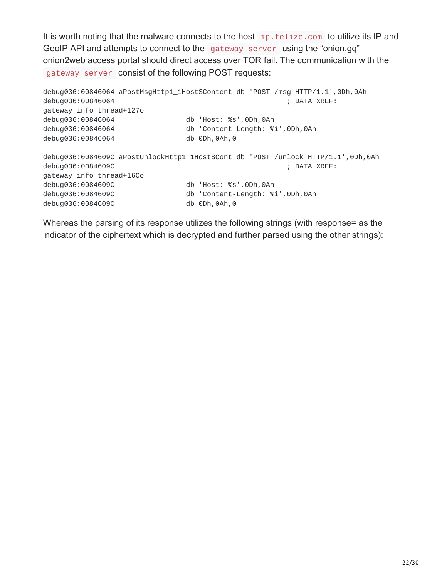It is worth noting that the malware connects to the host ip.telize.com to utilize its IP and GeoIP API and attempts to connect to the gateway server using the "onion.gq" onion2web access portal should direct access over TOR fail. The communication with the gateway server consist of the following POST requests:

```
debug036:00846064 aPostMsgHttp1_1HostSContent db 'POST /msg HTTP/1.1',0Dh,0Ah
debug036:00846064 ; DATA XREF:
gateway_info_thread+127o
debug036:00846064 db 'Host: %s',0Dh,0Ah
debug036:00846064 db 'Content-Length: %i',0Dh,0Ah
debug036:00846064 db 0Dh,0Ah,0
debug036:0084609C aPostUnlockHttp1_1HostSCont db 'POST /unlock HTTP/1.1',0Dh,0Ah
debug036:0084609C ; DATA XREF:
gateway_info_thread+16Co
debug036:0084609C db 'Host: %s',0Dh,0Ah
debug036:0084609C db 'Content-Length: %i',0Dh,0Ah
debug036:0084609C db 0Dh,0Ah,0
```
Whereas the parsing of its response utilizes the following strings (with response= as the indicator of the ciphertext which is decrypted and further parsed using the other strings):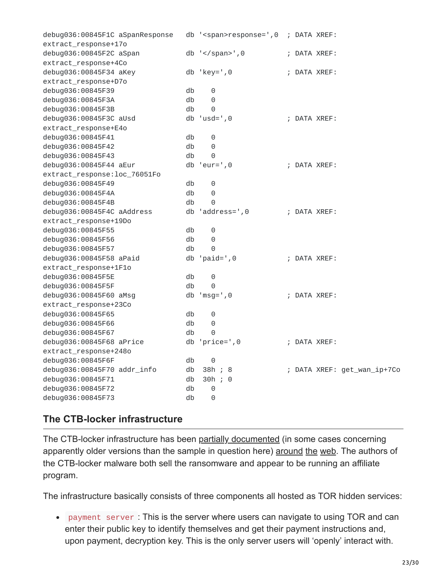| debug036:00845F1C aSpanResponse |    | db ' <span>response=',0 ; DATA XREF:</span> |  |              |                             |
|---------------------------------|----|---------------------------------------------|--|--------------|-----------------------------|
| extract_response+17o            |    |                                             |  |              |                             |
| debug036:00845F2C aSpan         |    | db $\text{'}$ ', 0                          |  | ; DATA XREF: |                             |
| extract_response+4Co            |    |                                             |  |              |                             |
| debug036:00845F34 aKey          |    | $db 'key='0$                                |  | DATA XREF:   |                             |
| extract_response+D7o            |    |                                             |  |              |                             |
| debug036:00845F39               | db | 0                                           |  |              |                             |
| debug036:00845F3A               | db | 0                                           |  |              |                             |
| debug036:00845F3B               | db | 0                                           |  |              |                             |
| debug036:00845F3C aUsd          |    | $db 'usd='0$                                |  | ; DATA XREF: |                             |
| extract_response+E4o            |    |                                             |  |              |                             |
| debug036:00845F41               | db | 0                                           |  |              |                             |
| debug036:00845F42               | db | 0                                           |  |              |                             |
| debug036:00845F43               | db | 0                                           |  |              |                             |
| debug036:00845F44 aEur          |    | $db 'eur=' , 0$                             |  | ; DATA XREF: |                             |
| extract_response: loc_76051Fo   |    |                                             |  |              |                             |
| debug036:00845F49               | db | 0                                           |  |              |                             |
| debug036:00845F4A               | db | 0                                           |  |              |                             |
| debug036:00845F4B               | db | 0                                           |  |              |                             |
| debug036:00845F4C aAddress      | db | $'address='$ , 0                            |  | ; DATA XREF: |                             |
| extract_response+19Do           |    |                                             |  |              |                             |
| debug036:00845F55               | db | 0                                           |  |              |                             |
| debug036:00845F56               | db | $\Theta$                                    |  |              |                             |
| debug036:00845F57               | db | 0                                           |  |              |                             |
| debug036:00845F58 aPaid         | db | $'$ paid= $', 0$                            |  | ; DATA XREF: |                             |
| extract_response+1F1o           |    |                                             |  |              |                             |
| debug036:00845F5E               | db | 0                                           |  |              |                             |
| debug036:00845F5F               | db | 0                                           |  |              |                             |
| debug036:00845F60 aMsg          |    | $db 'msg='0$                                |  | ; DATA XREF: |                             |
| extract_response+23Co           |    |                                             |  |              |                             |
| debug036:00845F65               | db | 0                                           |  |              |                             |
| debug036:00845F66               | db | 0                                           |  |              |                             |
| debug036:00845F67               | db | 0                                           |  |              |                             |
| debug036:00845F68 aPrice        | db | $'price='$ , 0                              |  | ; DATA XREF: |                             |
| extract_response+248o           |    |                                             |  |              |                             |
| debug036:00845F6F               | db | 0                                           |  |              |                             |
| debug036:00845F70 addr_info     | db | 38h ; 8                                     |  |              | ; DATA XREF: get_wan_ip+7Co |
| debug036:00845F71               | db | 30h ; 0                                     |  |              |                             |
| debug036:00845F72               | db | 0                                           |  |              |                             |
| debug036:00845F73               | db | 0                                           |  |              |                             |
|                                 |    |                                             |  |              |                             |

#### **The CTB-locker infrastructure**

The CTB-locker infrastructure has been [partially documented](http://malware.dontneedcoffee.com/2014/07/ctb-locker.html?showComment=1432541679251) (in some cases concerning apparently older versions than the sample in question here) [around](http://malware.dontneedcoffee.com/2015/05/on-other-side-of-ctb-locker-affiliate.html) [the](https://www.circl.lu/pub/tr-33/) [web](https://securelist.com/analysis/publications/64608/a-new-generation-of-ransomware/). The authors of the CTB-locker malware both sell the ransomware and appear to be running an affiliate program.

The infrastructure basically consists of three components all hosted as TOR hidden services:

payment server : This is the server where users can navigate to using TOR and can enter their public key to identify themselves and get their payment instructions and, upon payment, decryption key. This is the only server users will 'openly' interact with.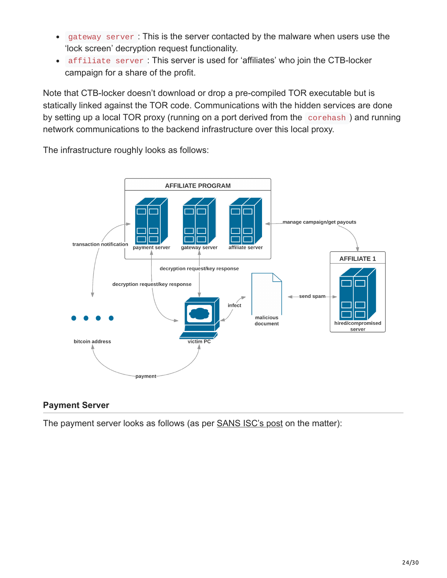- gateway server : This is the server contacted by the malware when users use the  $\bullet$ 'lock screen' decryption request functionality.
- affiliate server : This server is used for 'affiliates' who join the CTB-locker campaign for a share of the profit.

Note that CTB-locker doesn't download or drop a pre-compiled TOR executable but is statically linked against the TOR code. Communications with the hidden services are done by setting up a local TOR proxy (running on a port derived from the corehash ) and running network communications to the backend infrastructure over this local proxy.

The infrastructure roughly looks as follows:



#### **Payment Server**

The payment server looks as follows (as per **[SANS ISC's post](https://isc.sans.edu/diary/DalexisCTB-Locker+malspam+campaign/19641) on the matter**):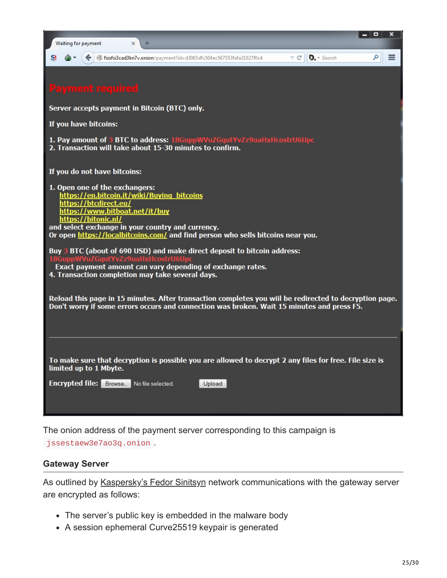| Ξ<br>x<br>Waiting for payment<br>$\times$<br>÷                                                                                                                                                                                                                                                                                                                                                                                                                                                                                                                                                                                                                                                                                                     |
|----------------------------------------------------------------------------------------------------------------------------------------------------------------------------------------------------------------------------------------------------------------------------------------------------------------------------------------------------------------------------------------------------------------------------------------------------------------------------------------------------------------------------------------------------------------------------------------------------------------------------------------------------------------------------------------------------------------------------------------------------|
| $\mathbf{D}$ - Search<br>ا فر<br>$\triangledown$ C $\vert$<br>≡<br>fizxfsi3cad3kn7v.onion/payment?id=d3065dfc504ec567553fafa31027f0c4                                                                                                                                                                                                                                                                                                                                                                                                                                                                                                                                                                                                              |
| <b>Payment required</b>                                                                                                                                                                                                                                                                                                                                                                                                                                                                                                                                                                                                                                                                                                                            |
| Server accepts payment in Bitcoin (BTC) only.                                                                                                                                                                                                                                                                                                                                                                                                                                                                                                                                                                                                                                                                                                      |
| If you have bitcoins:                                                                                                                                                                                                                                                                                                                                                                                                                                                                                                                                                                                                                                                                                                                              |
| 1. Pay amount of 3 BTC to address: 18GuppWVuZGqutYvZz9uaHxHcostrU6Upc<br>2. Transaction will take about 15-30 minutes to confirm.                                                                                                                                                                                                                                                                                                                                                                                                                                                                                                                                                                                                                  |
| If you do not have bitcoins:                                                                                                                                                                                                                                                                                                                                                                                                                                                                                                                                                                                                                                                                                                                       |
| 1. Open one of the exchangers:<br>https://en.bitcoin.it/wiki/Buying_bitcoins<br>https://btcdirect.eu/<br>https://www.bitboat.net/it/buy<br>https://bitonic.nl/<br>and select exchange in your country and currency.<br>Or open https://localbitcoins.com/ and find person who sells bitcoins near you.<br>Buy 3 BTC (about of 690 USD) and make direct deposit to bitcoin address:<br>18GuppWVuZGqutYvZz9uaHxHcostrU6Upc<br>Exact payment amount can vary depending of exchange rates.<br>4. Transaction completion may take several days.<br>Reload this page in 15 minutes. After transaction completes you wiil be redirected to decryption page.<br>Don't worry if some errors occurs and connection was broken. Wait 15 minutes and press F5. |
|                                                                                                                                                                                                                                                                                                                                                                                                                                                                                                                                                                                                                                                                                                                                                    |
| To make sure that decryption is possible you are allowed to decrypt 2 any files for free. File size is<br>limited up to 1 Mbyte.<br><b>Encrypted file:</b> Browse. No file selected.<br>Upload                                                                                                                                                                                                                                                                                                                                                                                                                                                                                                                                                     |

The onion address of the payment server corresponding to this campaign is jssestaew3e7ao3q.onion .

#### **Gateway Server**

As outlined by [Kaspersky's Fedor Sinitsyn](https://securelist.com/analysis/publications/64608/a-new-generation-of-ransomware/) network communications with the gateway server are encrypted as follows:

- The server's public key is embedded in the malware body
- A session ephemeral Curve25519 keypair is generated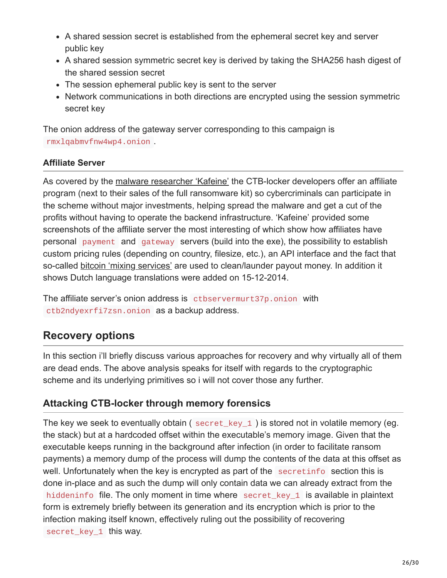- A shared session secret is established from the ephemeral secret key and server public key
- A shared session symmetric secret key is derived by taking the SHA256 hash digest of the shared session secret
- The session ephemeral public key is sent to the server
- Network communications in both directions are encrypted using the session symmetric secret key

The onion address of the gateway server corresponding to this campaign is rmxlqabmvfnw4wp4.onion .

#### **Affiliate Server**

As covered by the [malware researcher 'Kafeine'](http://malware.dontneedcoffee.com/2015/05/on-other-side-of-ctb-locker-affiliate.html) the CTB-locker developers offer an affiliate program (next to their sales of the full ransomware kit) so cybercriminals can participate in the scheme without major investments, helping spread the malware and get a cut of the profits without having to operate the backend infrastructure. 'Kafeine' provided some screenshots of the affiliate server the most interesting of which show how affiliates have personal payment and gateway servers (build into the exe), the possibility to establish custom pricing rules (depending on country, filesize, etc.), an API interface and the fact that so-called [bitcoin 'mixing services'](https://en.bitcoin.it/wiki/Mixing_service) are used to clean/launder payout money. In addition it shows Dutch language translations were added on 15-12-2014.

The affiliate server's onion address is ctbservermurt37p.onion with ctb2ndyexrfi7zsn.onion as a backup address.

## **Recovery options**

In this section i'll briefly discuss various approaches for recovery and why virtually all of them are dead ends. The above analysis speaks for itself with regards to the cryptographic scheme and its underlying primitives so i will not cover those any further.

#### **Attacking CTB-locker through memory forensics**

The key we seek to eventually obtain ( secret\_key\_1 ) is stored not in volatile memory (eg. the stack) but at a hardcoded offset within the executable's memory image. Given that the executable keeps running in the background after infection (in order to facilitate ransom payments) a memory dump of the process will dump the contents of the data at this offset as well. Unfortunately when the key is encrypted as part of the secretinfo section this is done in-place and as such the dump will only contain data we can already extract from the hiddeninfo file. The only moment in time where secret\_key\_1 is available in plaintext form is extremely briefly between its generation and its encryption which is prior to the infection making itself known, effectively ruling out the possibility of recovering secret\_key\_1 this way.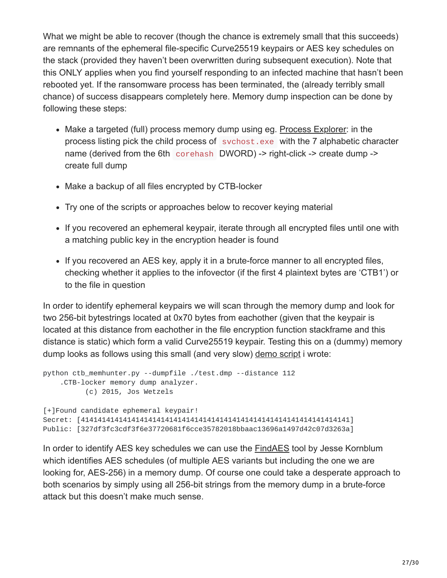What we might be able to recover (though the chance is extremely small that this succeeds) are remnants of the ephemeral file-specific Curve25519 keypairs or AES key schedules on the stack (provided they haven't been overwritten during subsequent execution). Note that this ONLY applies when you find yourself responding to an infected machine that hasn't been rebooted yet. If the ransomware process has been terminated, the (already terribly small chance) of success disappears completely here. Memory dump inspection can be done by following these steps:

- Make a targeted (full) process memory dump using eg. [Process Explorer:](https://technet.microsoft.com/en-us/sysinternals/processexplorer.aspx) in the process listing pick the child process of svchost.exe with the 7 alphabetic character name (derived from the 6th corehash DWORD) -> right-click -> create dump -> create full dump
- Make a backup of all files encrypted by CTB-locker
- Try one of the scripts or approaches below to recover keying material
- If you recovered an ephemeral keypair, iterate through all encrypted files until one with a matching public key in the encryption header is found
- If you recovered an AES key, apply it in a brute-force manner to all encrypted files, checking whether it applies to the infovector (if the first 4 plaintext bytes are 'CTB1') or to the file in question

In order to identify ephemeral keypairs we will scan through the memory dump and look for two 256-bit bytestrings located at 0x70 bytes from eachother (given that the keypair is located at this distance from eachother in the file encryption function stackframe and this distance is static) which form a valid Curve25519 keypair. Testing this on a (dummy) memory dump looks as follows using this small (and very slow) [demo script](https://github.com/samvartaka/ctb_locker/blob/master/ctb_memhunter.py) i wrote:

```
python ctb_memhunter.py --dumpfile ./test.dmp --distance 112
    .CTB-locker memory dump analyzer.
          (c) 2015, Jos Wetzels
[+]Found candidate ephemeral keypair!
Secret: [4141414141414141414141414141414141414141414141414141414141414141]
Public: [327df3fc3cdf3f6e37720681f6cce35782018bbaac13696a1497d42c07d3263a]
```
In order to identify AES key schedules we can use the [FindAES](http://sourceforge.net/projects/findaes/) tool by Jesse Kornblum which identifies AES schedules (of multiple AES variants but including the one we are looking for, AES-256) in a memory dump. Of course one could take a desperate approach to both scenarios by simply using all 256-bit strings from the memory dump in a brute-force attack but this doesn't make much sense.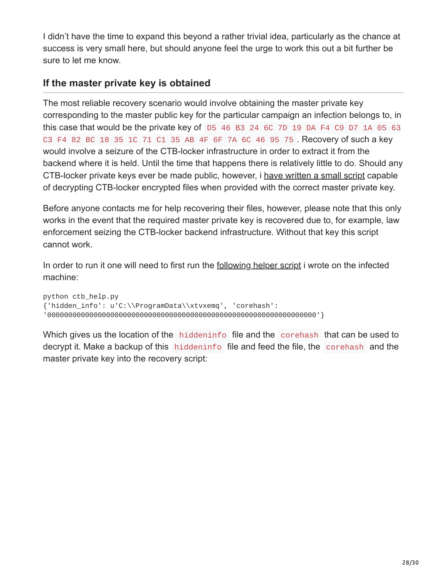I didn't have the time to expand this beyond a rather trivial idea, particularly as the chance at success is very small here, but should anyone feel the urge to work this out a bit further be sure to let me know.

#### **If the master private key is obtained**

The most reliable recovery scenario would involve obtaining the master private key corresponding to the master public key for the particular campaign an infection belongs to, in this case that would be the private key of D5 46 B3 24 6C 7D 19 DA F4 C9 D7 1A 05 63 C3 F4 82 BC 18 35 1C 71 C1 35 AB 4F 6F 7A 6C 46 95 75 . Recovery of such a key would involve a seizure of the CTB-locker infrastructure in order to extract it from the backend where it is held. Until the time that happens there is relatively little to do. Should any CTB-locker private keys ever be made public, however, i [have written a small script](https://github.com/samvartaka/ctb_locker/blob/master/ctb_recover.py) capable of decrypting CTB-locker encrypted files when provided with the correct master private key.

Before anyone contacts me for help recovering their files, however, please note that this only works in the event that the required master private key is recovered due to, for example, law enforcement seizing the CTB-locker backend infrastructure. Without that key this script cannot work.

In order to run it one will need to first run the [following helper script](https://github.com/samvartaka/ctb_locker/blob/master/ctb_help.py) i wrote on the infected machine:

python ctb\_help.py {'hidden\_info': u'C:\\ProgramData\\xtvxemq', 'corehash': '0000000000000000000000000000000000000000000000000000000000000000'}

Which gives us the location of the hiddeninfo file and the corehash that can be used to decrypt it. Make a backup of this hiddeninfo file and feed the file, the corehash and the master private key into the recovery script: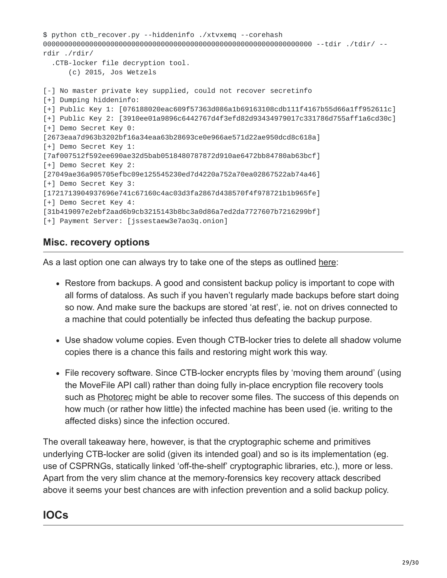```
$ python ctb_recover.py --hiddeninfo ./xtvxemq --corehash
0000000000000000000000000000000000000000000000000000000000000000 --tdir ./tdir/ --
rdir ./rdir/
  .CTB-locker file decryption tool.
      (c) 2015, Jos Wetzels
[-] No master private key supplied, could not recover secretinfo
[+] Dumping hiddeninfo:
[+] Public Key 1: [076188020eac609f57363d086a1b69163108cdb111f4167b55d66a1ff952611c]
[+] Public Key 2: [3910ee01a9896c6442767d4f3efd82d93434979017c331786d755aff1a6cd30c]
[+] Demo Secret Key 0:
[2673eaa7d963b3202bf16a34eaa63b28693ce0e966ae571d22ae950dcd8c618a]
[+] Demo Secret Key 1:
[7af007512f592ee690ae32d5bab0518480787872d910ae6472bb84780ab63bcf]
[+] Demo Secret Key 2:
[27049ae36a905705efbc09e125545230ed7d4220a752a70ea02867522ab74a46]
[+] Demo Secret Key 3:
[1721713904937696e741c67160c4ac03d3fa2867d438570f4f978721b1b965fe]
[+] Demo Secret Key 4:
[31b419097e2ebf2aad6b9cb3215143b8bc3a0d86a7ed2da7727607b7216299bf]
[+] Payment Server: [jssestaew3e7ao3q.onion]
```
#### **Misc. recovery options**

As a last option one can always try to take one of the steps as outlined [here](http://www.bleepingcomputer.com/virus-removal/ctb-locker-ransomware-information):

- Restore from backups. A good and consistent backup policy is important to cope with all forms of dataloss. As such if you haven't regularly made backups before start doing so now. And make sure the backups are stored 'at rest', ie. not on drives connected to a machine that could potentially be infected thus defeating the backup purpose.
- Use shadow volume copies. Even though CTB-locker tries to delete all shadow volume copies there is a chance this fails and restoring might work this way.
- File recovery software. Since CTB-locker encrypts files by 'moving them around' (using the MoveFile API call) rather than doing fully in-place encryption file recovery tools such as **Photorec** might be able to recover some files. The success of this depends on how much (or rather how little) the infected machine has been used (ie. writing to the affected disks) since the infection occured.

The overall takeaway here, however, is that the cryptographic scheme and primitives underlying CTB-locker are solid (given its intended goal) and so is its implementation (eg. use of CSPRNGs, statically linked 'off-the-shelf' cryptographic libraries, etc.), more or less. Apart from the very slim chance at the memory-forensics key recovery attack described above it seems your best chances are with infection prevention and a solid backup policy.

## **IOCs**